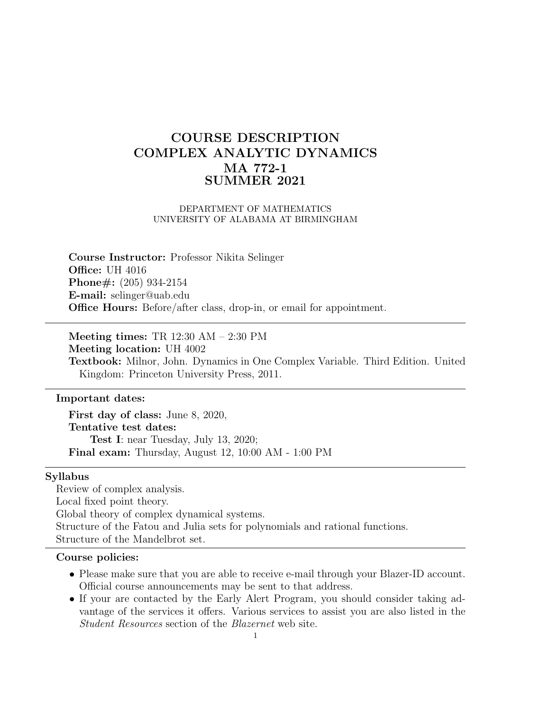# COURSE DESCRIPTION COMPLEX ANALYTIC DYNAMICS MA 772-1 SUMMER 2021

## DEPARTMENT OF MATHEMATICS UNIVERSITY OF ALABAMA AT BIRMINGHAM

Course Instructor: Professor Nikita Selinger Office: UH 4016 Phone#: (205) 934-2154 E-mail: selinger@uab.edu Office Hours: Before/after class, drop-in, or email for appointment.

Meeting times: TR 12:30 AM – 2:30 PM Meeting location: UH 4002 Textbook: Milnor, John. Dynamics in One Complex Variable. Third Edition. United Kingdom: Princeton University Press, 2011.

## Important dates:

First day of class: June 8, 2020, Tentative test dates: Test I: near Tuesday, July 13, 2020; Final exam: Thursday, August 12, 10:00 AM - 1:00 PM

## Syllabus

Review of complex analysis. Local fixed point theory. Global theory of complex dynamical systems. Structure of the Fatou and Julia sets for polynomials and rational functions. Structure of the Mandelbrot set.

#### Course policies:

- Please make sure that you are able to receive e-mail through your Blazer-ID account. Official course announcements may be sent to that address.
- If your are contacted by the Early Alert Program, you should consider taking advantage of the services it offers. Various services to assist you are also listed in the Student Resources section of the Blazernet web site.